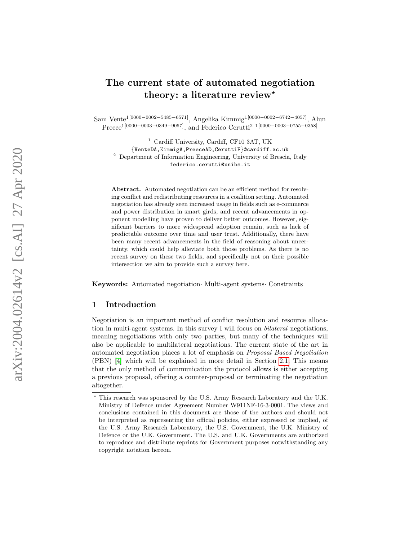# The current state of automated negotiation theory: a literature review<sup>\*</sup>

Sam Vente<sup>1</sup><sup>[0000–0002–5485–6571]</sup>, Angelika Kimmig<sup>1</sup><sup>[0000–0002–6742–4057]</sup>, Alun Preece<sup>1[0000–0003–0349–9057]</sup>, and Federico Cerutti<sup>2</sup><sup>1[0000–0003–0755–0358]</sup>

<sup>1</sup> Cardiff University, Cardiff, CF10 3AT, UK {VenteDA,KimmigA,PreeceAD,CeruttiF }@cardiff.ac.uk <sup>2</sup> Department of Information Engineering, University of Brescia, Italy federico.cerutti@unibs.it

Abstract. Automated negotiation can be an efficient method for resolving conflict and redistributing resources in a coalition setting. Automated negotiation has already seen increased usage in fields such as e-commerce and power distribution in smart girds, and recent advancements in opponent modelling have proven to deliver better outcomes. However, significant barriers to more widespread adoption remain, such as lack of predictable outcome over time and user trust. Additionally, there have been many recent advancements in the field of reasoning about uncertainty, which could help alleviate both those problems. As there is no recent survey on these two fields, and specifically not on their possible intersection we aim to provide such a survey here.

Keywords: Automated negotiation Multi-agent systems Constraints

### 1 Introduction

Negotiation is an important method of conflict resolution and resource allocation in multi-agent systems. In this survey I will focus on bilateral negotiations, meaning negotiations with only two parties, but many of the techniques will also be applicable to multilateral negotiations. The current state of the art in automated negotiation places a lot of emphasis on Proposal Based Negotiation (PBN) [\[4\]](#page-12-0) which will be explained in more detail in Section [2.1.](#page-2-0) This means that the only method of communication the protocol allows is either accepting a previous proposal, offering a counter-proposal or terminating the negotiation altogether.

<sup>?</sup> This research was sponsored by the U.S. Army Research Laboratory and the U.K. Ministry of Defence under Agreement Number W911NF-16-3-0001. The views and conclusions contained in this document are those of the authors and should not be interpreted as representing the official policies, either expressed or implied, of the U.S. Army Research Laboratory, the U.S. Government, the U.K. Ministry of Defence or the U.K. Government. The U.S. and U.K. Governments are authorized to reproduce and distribute reprints for Government purposes notwithstanding any copyright notation hereon.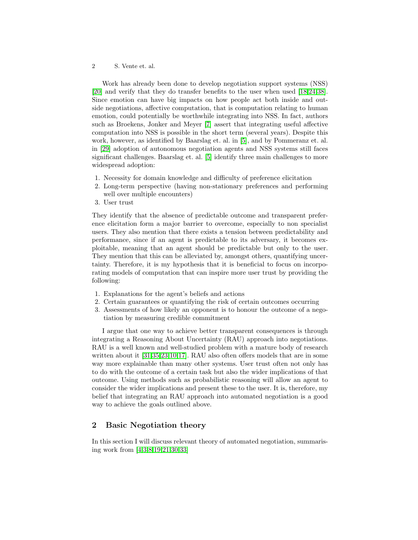Work has already been done to develop negotiation support systems (NSS) [\[20\]](#page-13-0) and verify that they do transfer benefits to the user when used [\[18,](#page-13-1)[24,](#page-14-0)[38\]](#page-15-0). Since emotion can have big impacts on how people act both inside and outside negotiations, affective computation, that is computation relating to human emotion, could potentially be worthwhile integrating into NSS. In fact, authors such as Broekens, Jonker and Meyer [\[7\]](#page-13-2) assert that integrating useful affective computation into NSS is possible in the short term (several years). Despite this work, however, as identified by Baarslag et. al. in [\[5\]](#page-12-1), and by Pommeranz et. al. in [\[29\]](#page-14-1) adoption of autonomous negotiation agents and NSS systems still faces significant challenges. Baarslag et. al. [\[5\]](#page-12-1) identify three main challenges to more widespread adoption:

- 1. Necessity for domain knowledge and difficulty of preference elicitation
- 2. Long-term perspective (having non-stationary preferences and performing well over multiple encounters)
- 3. User trust

They identify that the absence of predictable outcome and transparent preference elicitation form a major barrier to overcome, especially to non specialist users. They also mention that there exists a tension between predictability and performance, since if an agent is predictable to its adversary, it becomes exploitable, meaning that an agent should be predictable but only to the user. They mention that this can be alleviated by, amongst others, quantifying uncertainty. Therefore, it is my hypothesis that it is beneficial to focus on incorporating models of computation that can inspire more user trust by providing the following:

- 1. Explanations for the agent's beliefs and actions
- 2. Certain guarantees or quantifying the risk of certain outcomes occurring
- 3. Assessments of how likely an opponent is to honour the outcome of a negotiation by measuring credible commitment

I argue that one way to achieve better transparent consequences is through integrating a Reasoning About Uncertainty (RAU) approach into negotiations. RAU is a well known and well-studied problem with a mature body of research written about it [\[31](#page-14-2)[,35,](#page-15-1)[23,](#page-14-3)[10,](#page-13-3)[17\]](#page-13-4). RAU also often offers models that are in some way more explainable than many other systems. User trust often not only has to do with the outcome of a certain task but also the wider implications of that outcome. Using methods such as probabilistic reasoning will allow an agent to consider the wider implications and present these to the user. It is, therefore, my belief that integrating an RAU approach into automated negotiation is a good way to achieve the goals outlined above.

# 2 Basic Negotiation theory

In this section I will discuss relevant theory of automated negotiation, summarising work from [\[4,](#page-12-0)[3,](#page-12-2)[8,](#page-13-5)[19](#page-13-6)[,21,](#page-14-4)[30,](#page-14-5)[33\]](#page-14-6)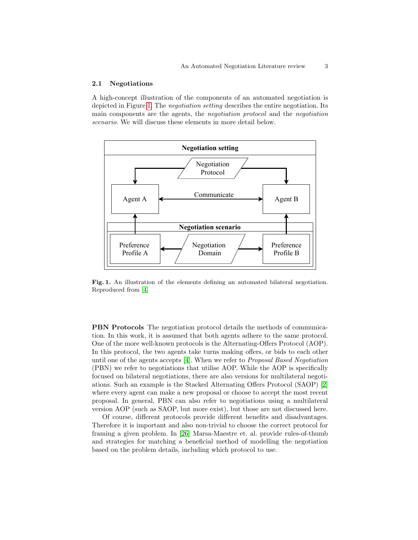#### <span id="page-2-0"></span>2.1 Negotiations

A high-concept illustration of the components of an automated negotiation is depicted in Figure [1.](#page-2-1) The negotiation setting describes the entire negotiation. Its main components are the agents, the negotiation protocol and the negotiation scenario. We will discuss these elements in more detail below.



<span id="page-2-1"></span>Fig. 1. An illustration of the elements defining an automated bilateral negotiation. Reproduced from [\[4\]](#page-12-0)

PBN Protocols The negotiation protocol details the methods of communication. In this work, it is assumed that both agents adhere to the same protocol. One of the more well-known protocols is the Alternating-Offers Protocol (AOP). In this protocol, the two agents take turns making offers, or bids to each other until one of the agents accepts [\[4\]](#page-12-0). When we refer to Proposal Based Negotiation (PBN) we refer to negotiations that utilise AOP. While the AOP is specifically focused on bilateral negotiations, there are also versions for multilateral negotiations. Such an example is the Stacked Alternating Offers Protocol (SAOP) [\[2\]](#page-12-3) where every agent can make a new proposal or choose to accept the most recent proposal. In general, PBN can also refer to negotiations using a multilateral version AOP (such as SAOP, but more exist), but those are not discussed here.

Of course, different protocols provide different benefits and disadvantages. Therefore it is important and also non-trivial to choose the correct protocol for framing a given problem. In [\[26\]](#page-14-7) Marsa-Maestre et. al. provide rules-of-thumb and strategies for matching a beneficial method of modelling the negotiation based on the problem details, including which protocol to use.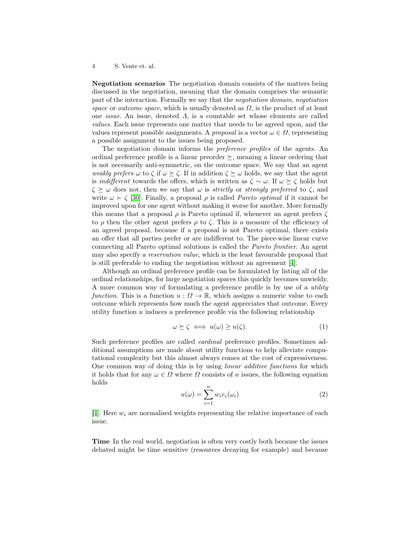<span id="page-3-0"></span>Negotiation scenarios The negotiation domain consists of the matters being discussed in the negotiation, meaning that the domain comprises the semantic part of the interaction. Formally we say that the negotiation domain, negotiation space or *outcome space*, which is usually denoted as  $\Omega$ , is the product of at least one issue. An issue, denoted Λ, is a countable set whose elements are called values. Each issue represents one matter that needs to be agreed upon, and the values represent possible assignments. A *proposal* is a vector  $\omega \in \Omega$ , representing a possible assignment to the issues being proposed.

The negotiation domain informs the preference profiles of the agents. An ordinal preference profile is a linear preorder  $\succeq$ , meaning a linear ordering that is not necessarily anti-symmetric, on the outcome space. We say that an agent weakly prefers  $\omega$  to  $\zeta$  if  $\omega \succ \zeta$ . If in addition  $\zeta \succ \omega$  holds, we say that the agent is *indifferent* towards the offers, which is written as  $\zeta \sim \omega$ . If  $\omega \succeq \zeta$  holds but  $\zeta \succeq \omega$  does not, then we say that  $\omega$  is *strictly* or *strongly preferred* to  $\zeta$ , and write  $\omega \succ \zeta$  [\[30\]](#page-14-5). Finally, a proposal  $\rho$  is called *Pareto optimal* if it cannot be improved upon for one agent without making it worse for another. More formally this means that a proposal  $\rho$  is Pareto optimal if, whenever an agent prefers  $\zeta$ to  $\rho$  then the other agent prefers  $\rho$  to  $\zeta$ . This is a measure of the efficiency of an agreed proposal, because if a proposal is not Pareto optimal, there exists an offer that all parties prefer or are indifferent to. The piece-wise linear curve connecting all Pareto optimal solutions is called the Pareto frontier. An agent may also specify a reservation value, which is the least favourable proposal that is still preferable to ending the negotiation without an agreement [\[4\]](#page-12-0).

Although an ordinal preference profile can be formulated by listing all of the ordinal relationships, for large negotiation spaces this quickly becomes unwieldy. A more common way of formulating a preference profile is by use of a utility function. This is a function  $u : \Omega \to \mathbb{R}$ , which assigns a numeric value to each outcome which represents how much the agent appreciates that outcome. Every utility function  $u$  induces a preference profile via the following relationship

$$
\omega \succeq \zeta \iff u(\omega) \ge u(\zeta). \tag{1}
$$

Such preference profiles are called cardinal preference profiles. Sometimes additional assumptions are made about utility functions to help alleviate computational complexity but this almost always comes at the cost of expressiveness. One common way of doing this is by using linear additive functions for which it holds that for any  $\omega \in \Omega$  where  $\Omega$  consists of n issues, the following equation holds

$$
u(\omega) = \sum_{i=1}^{n} w_i e_i(\omega_i)
$$
 (2)

[\[4\]](#page-12-0). Here  $w_i$  are normalised weights representing the relative importance of each issue.

Time In the real world, negotiation is often very costly both because the issues debated might be time sensitive (resources decaying for example) and because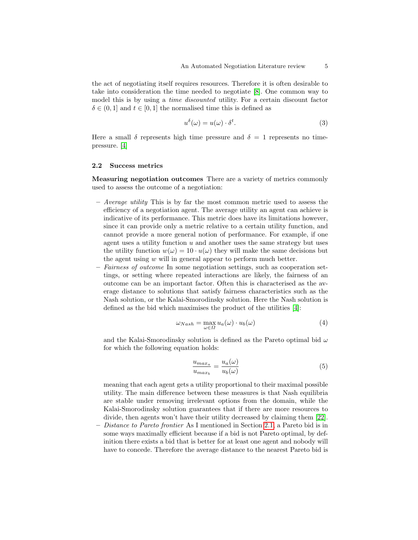the act of negotiating itself requires resources. Therefore it is often desirable to take into consideration the time needed to negotiate [\[8\]](#page-13-5). One common way to model this is by using a *time discounted* utility. For a certain discount factor  $\delta \in (0,1]$  and  $t \in [0,1]$  the normalised time this is defined as

$$
u^{\delta}(\omega) = u(\omega) \cdot \delta^{t}.
$$
\n(3)

Here a small  $\delta$  represents high time pressure and  $\delta = 1$  represents no timepressure. [\[4\]](#page-12-0)

#### <span id="page-4-0"></span>2.2 Success metrics

Measuring negotiation outcomes There are a variety of metrics commonly used to assess the outcome of a negotiation:

- Average utility This is by far the most common metric used to assess the efficiency of a negotiation agent. The average utility an agent can achieve is indicative of its performance. This metric does have its limitations however, since it can provide only a metric relative to a certain utility function, and cannot provide a more general notion of performance. For example, if one agent uses a utility function  $u$  and another uses the same strategy but uses the utility function  $w(\omega) = 10 \cdot u(\omega)$  they will make the same decisions but the agent using w will in general appear to perform much better.
- Fairness of outcome In some negotiation settings, such as cooperation settings, or setting where repeated interactions are likely, the fairness of an outcome can be an important factor. Often this is characterised as the average distance to solutions that satisfy fairness characteristics such as the Nash solution, or the Kalai-Smorodinsky solution. Here the Nash solution is defined as the bid which maximises the product of the utilities [\[4\]](#page-12-0):

$$
\omega_{Nash} = \max_{\omega \in \Omega} u_a(\omega) \cdot u_b(\omega) \tag{4}
$$

and the Kalai-Smorodinsky solution is defined as the Pareto optimal bid  $\omega$ for which the following equation holds:

$$
\frac{u_{max_a}}{u_{max_b}} = \frac{u_a(\omega)}{u_b(\omega)}\tag{5}
$$

meaning that each agent gets a utility proportional to their maximal possible utility. The main difference between these measures is that Nash equilibria are stable under removing irrelevant options from the domain, while the Kalai-Smorodinsky solution guarantees that if there are more resources to divide, then agents won't have their utility decreased by claiming them [\[22\]](#page-14-8).

– Distance to Pareto frontier As I mentioned in Section [2.1,](#page-3-0) a Pareto bid is in some ways maximally efficient because if a bid is not Pareto optimal, by definition there exists a bid that is better for at least one agent and nobody will have to concede. Therefore the average distance to the nearest Pareto bid is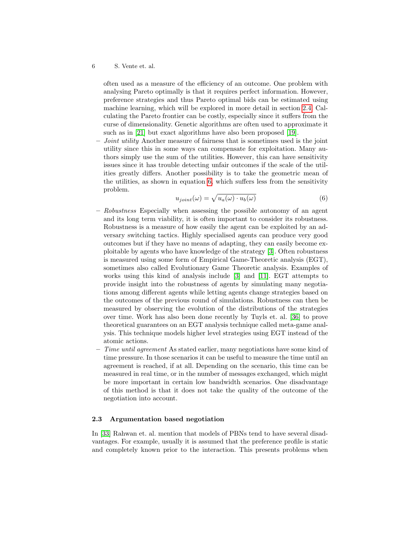often used as a measure of the efficiency of an outcome. One problem with analysing Pareto optimally is that it requires perfect information. However, preference strategies and thus Pareto optimal bids can be estimated using machine learning, which will be explored in more detail in section [2.4.](#page-7-0) Calculating the Pareto frontier can be costly, especially since it suffers from the curse of dimensionality. Genetic algorithms are often used to approximate it such as in [\[21\]](#page-14-4) but exact algorithms have also been proposed [\[19\]](#page-13-6).

Joint utility Another measure of fairness that is sometimes used is the joint utility since this in some ways can compensate for exploitation. Many authors simply use the sum of the utilities. However, this can have sensitivity issues since it has trouble detecting unfair outcomes if the scale of the utilities greatly differs. Another possibility is to take the geometric mean of the utilities, as shown in equation [6,](#page-5-0) which suffers less from the sensitivity problem.

<span id="page-5-0"></span>
$$
u_{joint}(\omega) = \sqrt{u_a(\omega) \cdot u_b(\omega)}\tag{6}
$$

- Robustness Especially when assessing the possible autonomy of an agent and its long term viability, it is often important to consider its robustness. Robustness is a measure of how easily the agent can be exploited by an adversary switching tactics. Highly specialised agents can produce very good outcomes but if they have no means of adapting, they can easily become exploitable by agents who have knowledge of the strategy [\[3\]](#page-12-2). Often robustness is measured using some form of Empirical Game-Theoretic analysis (EGT), sometimes also called Evolutionary Game Theoretic analysis. Examples of works using this kind of analysis include [\[3\]](#page-12-2) and [\[11\]](#page-13-7). EGT attempts to provide insight into the robustness of agents by simulating many negotiations among different agents while letting agents change strategies based on the outcomes of the previous round of simulations. Robustness can then be measured by observing the evolution of the distributions of the strategies over time. Work has also been done recently by Tuyls et. al. [\[36\]](#page-15-2) to prove theoretical guarantees on an EGT analysis technique called meta-game analysis. This technique models higher level strategies using EGT instead of the atomic actions.
- $-$  Time until agreement As stated earlier, many negotiations have some kind of time pressure. In those scenarios it can be useful to measure the time until an agreement is reached, if at all. Depending on the scenario, this time can be measured in real time, or in the number of messages exchanged, which might be more important in certain low bandwidth scenarios. One disadvantage of this method is that it does not take the quality of the outcome of the negotiation into account.

#### 2.3 Argumentation based negotiation

In [\[33\]](#page-14-6) Rahwan et. al. mention that models of PBNs tend to have several disadvantages. For example, usually it is assumed that the preference profile is static and completely known prior to the interaction. This presents problems when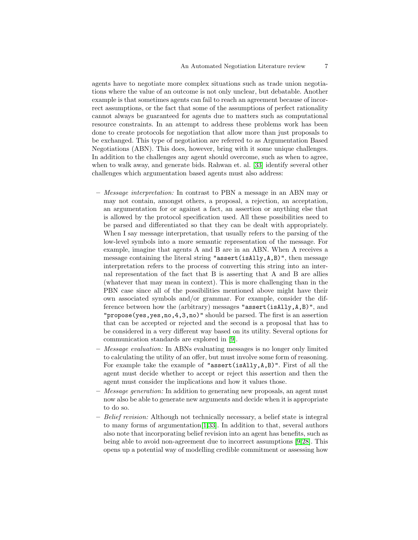agents have to negotiate more complex situations such as trade union negotiations where the value of an outcome is not only unclear, but debatable. Another example is that sometimes agents can fail to reach an agreement because of incorrect assumptions, or the fact that some of the assumptions of perfect rationality cannot always be guaranteed for agents due to matters such as computational resource constraints. In an attempt to address these problems work has been done to create protocols for negotiation that allow more than just proposals to be exchanged. This type of negotiation are referred to as Argumentation Based Negotiations (ABN). This does, however, bring with it some unique challenges. In addition to the challenges any agent should overcome, such as when to agree, when to walk away, and generate bids. Rahwan et. al. [\[33\]](#page-14-6) identify several other challenges which argumentation based agents must also address:

- Message interpretation: In contrast to PBN a message in an ABN may or may not contain, amongst others, a proposal, a rejection, an acceptation, an argumentation for or against a fact, an assertion or anything else that is allowed by the protocol specification used. All these possibilities need to be parsed and differentiated so that they can be dealt with appropriately. When I say message interpretation, that usually refers to the parsing of the low-level symbols into a more semantic representation of the message. For example, imagine that agents A and B are in an ABN. When A receives a message containing the literal string "assert(isAlly,A,B)", then message interpretation refers to the process of converting this string into an internal representation of the fact that B is asserting that A and B are allies (whatever that may mean in context). This is more challenging than in the PBN case since all of the possibilities mentioned above might have their own associated symbols and/or grammar. For example, consider the difference between how the (arbitrary) messages "assert(isAlly,A,B)", and "propose(yes,yes,no,4,3,no)" should be parsed. The first is an assertion that can be accepted or rejected and the second is a proposal that has to be considered in a very different way based on its utility. Several options for communication standards are explored in [\[9\]](#page-13-8).
- Message evaluation: In ABNs evaluating messages is no longer only limited to calculating the utility of an offer, but must involve some form of reasoning. For example take the example of "assert(isAlly, $A, B$ )". First of all the agent must decide whether to accept or reject this assertion and then the agent must consider the implications and how it values those.
- $-$  *Message generation:* In addition to generating new proposals, an agent must now also be able to generate new arguments and decide when it is appropriate to do so.
- Belief revision: Although not technically necessary, a belief state is integral to many forms of argumentation[\[1,](#page-12-4)[33\]](#page-14-6). In addition to that, several authors also note that incorporating belief revision into an agent has benefits, such as being able to avoid non-agreement due to incorrect assumptions [\[9,](#page-13-8)[28\]](#page-14-9). This opens up a potential way of modelling credible commitment or assessing how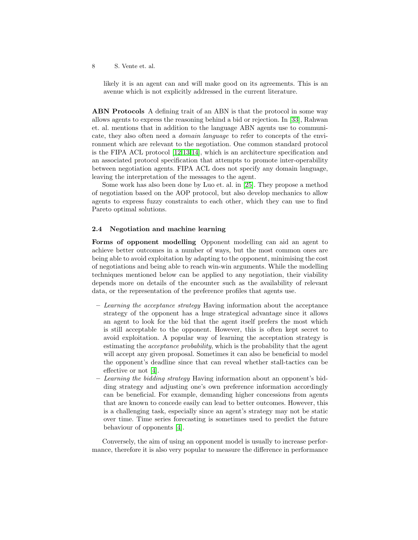likely it is an agent can and will make good on its agreements. This is an avenue which is not explicitly addressed in the current literature.

ABN Protocols A defining trait of an ABN is that the protocol in some way allows agents to express the reasoning behind a bid or rejection. In [\[33\]](#page-14-6), Rahwan et. al. mentions that in addition to the language ABN agents use to communicate, they also often need a domain language to refer to concepts of the environment which are relevant to the negotiation. One common standard protocol is the FIPA ACL protocol [\[12,](#page-13-9)[13,](#page-13-10)[14\]](#page-13-11), which is an architecture specification and an associated protocol specification that attempts to promote inter-operability between negotiation agents. FIPA ACL does not specify any domain language, leaving the interpretation of the messages to the agent.

Some work has also been done by Luo et. al. in [\[25\]](#page-14-10). They propose a method of negotiation based on the AOP protocol, but also develop mechanics to allow agents to express fuzzy constraints to each other, which they can use to find Pareto optimal solutions.

#### <span id="page-7-0"></span>2.4 Negotiation and machine learning

Forms of opponent modelling Opponent modelling can aid an agent to achieve better outcomes in a number of ways, but the most common ones are being able to avoid exploitation by adapting to the opponent, minimising the cost of negotiations and being able to reach win-win arguments. While the modelling techniques mentioned below can be applied to any negotiation, their viability depends more on details of the encounter such as the availability of relevant data, or the representation of the preference profiles that agents use.

- Learning the acceptance strategy Having information about the acceptance strategy of the opponent has a huge strategical advantage since it allows an agent to look for the bid that the agent itself prefers the most which is still acceptable to the opponent. However, this is often kept secret to avoid exploitation. A popular way of learning the acceptation strategy is estimating the acceptance probability, which is the probability that the agent will accept any given proposal. Sometimes it can also be beneficial to model the opponent's deadline since that can reveal whether stall-tactics can be effective or not [\[4\]](#page-12-0).
- Learning the bidding strategy Having information about an opponent's bidding strategy and adjusting one's own preference information accordingly can be beneficial. For example, demanding higher concessions from agents that are known to concede easily can lead to better outcomes. However, this is a challenging task, especially since an agent's strategy may not be static over time. Time series forecasting is sometimes used to predict the future behaviour of opponents [\[4\]](#page-12-0).

Conversely, the aim of using an opponent model is usually to increase performance, therefore it is also very popular to measure the difference in performance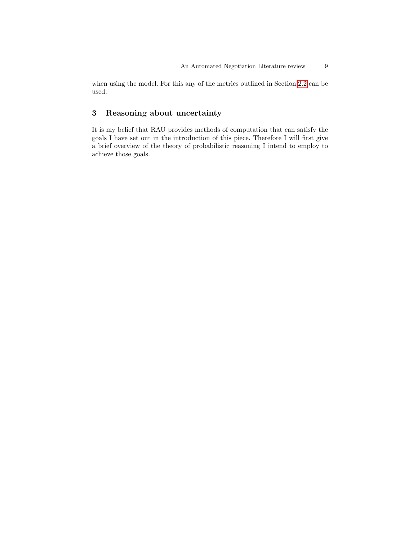when using the model. For this any of the metrics outlined in Section [2.2](#page-4-0) can be used.

# 3 Reasoning about uncertainty

It is my belief that RAU provides methods of computation that can satisfy the goals I have set out in the introduction of this piece. Therefore I will first give a brief overview of the theory of probabilistic reasoning I intend to employ to achieve those goals.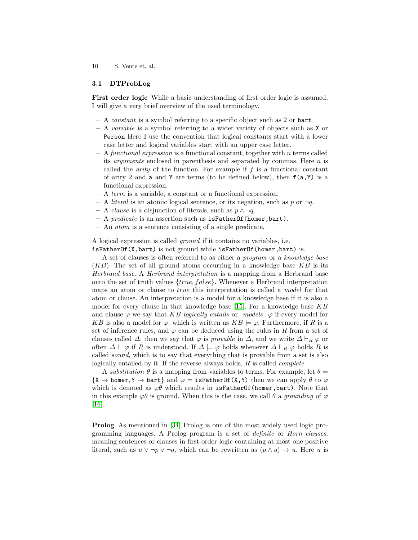#### 3.1 DTProbLog

First order logic While a basic understanding of first order logic is assumed, I will give a very brief overview of the used terminology.

- A constant is a symbol referring to a specific object such as 2 or bart
- $A$  variable is a symbol referring to a wider variety of objects such as X or Person Here I use the convention that logical constants start with a lower case letter and logical variables start with an upper case letter.
- $A$  functional expression is a functional constant, together with n terms called its *arguments* enclosed in parenthesis and separated by commas. Here  $n$  is called the *arity* of the function. For example if  $f$  is a functional constant of arity 2 and a and Y are terms (to be defined below), then  $f(a, Y)$  is a functional expression.
- A term is a variable, a constant or a functional expression.
- A *literal* is an atomic logical sentence, or its negation, such as  $p$  or  $\neg q$ .
- A *clause* is a disjunction of literals, such as  $p \land \neg q$ .
- $-$  A predicate is an assertion such as is FatherOf (homer, bart).
- An atom is a sentence consisting of a single predicate.

A logical expression is called ground if it contains no variables, i.e. isFatherOf(X,bart) is not ground while isFatherOf(homer,bart) is.

A set of clauses is often referred to as either a program or a knowledge base  $(KB)$ . The set of all ground atoms occurring in a knowledge base  $KB$  is its Herbrand base. A Herbrand interpretation is a mapping from a Herbrand base onto the set of truth values  $\{true, false\}$ . Whenever a Herbrand interpretation maps an atom or clause to true this interpretation is called a model for that atom or clause. An interpretation is a model for a knowledge base if it is also a model for every clause in that knowledge base  $[15]$ . For a knowledge base  $KB$ and clause  $\varphi$  we say that KB logically entails or models  $\varphi$  if every model for KB is also a model for  $\varphi$ , which is written as  $KB \models \varphi$ . Furthermore, if R is a set of inference rules, and  $\varphi$  can be deduced using the rules in R from a set of clauses called  $\Delta$ , then we say that  $\varphi$  is *provable* in  $\Delta$ , and we write  $\Delta \vdash_R \varphi$  or often  $\Delta \vdash \varphi$  if R is understood. If  $\Delta \models \varphi$  holds whenever  $\Delta \vdash_R \varphi$  holds R is called sound, which is to say that everything that is provable from a set is also logically entailed by it. If the reverse always holds, R is called complete.

A substitution  $\theta$  is a mapping from variables to terms. For example, let  $\theta =$  $\{X \rightarrow \text{homer}, Y \rightarrow \text{bart}\}\$ and  $\varphi = \text{isFatherOf}(X, Y)$  then we can apply  $\theta$  to  $\varphi$ which is denoted as  $\varphi\theta$  which results in isFatherOf(homer,bart). Note that in this example  $\varphi\theta$  is ground. When this is the case, we call  $\theta$  a grounding of  $\varphi$ [\[16\]](#page-13-13).

Prolog As mentioned in [\[34\]](#page-14-11) Prolog is one of the most widely used logic programming languages. A Prolog program is a set of definite or Horn clauses, meaning sentences or clauses in first-order logic containing at most one positive literal, such as  $u \vee \neg p \vee \neg q$ , which can be rewritten as  $(p \wedge q) \rightarrow u$ . Here u is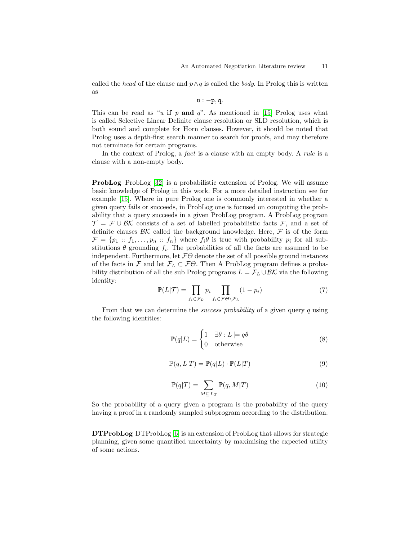called the head of the clause and  $p \wedge q$  is called the body. In Prolog this is written as

$$
u:-p,q.
$$

This can be read as "u if p and  $q$ ". As mentioned in [\[15\]](#page-13-12) Prolog uses what is called Selective Linear Definite clause resolution or SLD resolution, which is both sound and complete for Horn clauses. However, it should be noted that Prolog uses a depth-first search manner to search for proofs, and may therefore not terminate for certain programs.

In the context of Prolog, a *fact* is a clause with an empty body. A *rule* is a clause with a non-empty body.

ProbLog ProbLog [\[32\]](#page-14-12) is a probabilistic extension of Prolog. We will assume basic knowledge of Prolog in this work. For a more detailed instruction see for example [\[15\]](#page-13-12). Where in pure Prolog one is commonly interested in whether a given query fails or succeeds, in ProbLog one is focused on computing the probability that a query succeeds in a given ProbLog program. A ProbLog program  $\mathcal{T} = \mathcal{F} \cup \mathcal{B} \mathcal{K}$  consists of a set of labelled probabilistic facts  $\mathcal{F}$ , and a set of definite clauses  $\beta K$  called the background knowledge. Here,  $\mathcal F$  is of the form  $\mathcal{F} = \{p_1 :: f_1, \ldots, p_n :: f_n\}$  where  $f_i \theta$  is true with probability  $p_i$  for all substitutions  $\theta$  grounding  $f_i$ . The probabilities of all the facts are assumed to be independent. Furthermore, let  $F\Theta$  denote the set of all possible ground instances of the facts in F and let  $\mathcal{F}_L \subset \mathcal{F}\Theta$ . Then A ProbLog program defines a probability distribution of all the sub Prolog programs  $L = \mathcal{F}_L \cup \mathcal{B} \mathcal{K}$  via the following identity:

$$
\mathbb{P}(L|\mathcal{T}) = \prod_{f_i \in \mathcal{F}_L} p_i \prod_{f_i \in \mathcal{F} \Theta \setminus \mathcal{F}_L} (1 - p_i) \tag{7}
$$

From that we can determine the *success probability* of a given query q using the following identities:

<span id="page-10-0"></span>
$$
\mathbb{P}(q|L) = \begin{cases} 1 & \exists \theta : L \models q\theta \\ 0 & \text{otherwise} \end{cases}
$$
 (8)

$$
\mathbb{P}(q, L|T) = \mathbb{P}(q|L) \cdot \mathbb{P}(L|T)
$$
\n(9)

$$
\mathbb{P}(q|T) = \sum_{M \subseteq L_T} \mathbb{P}(q, M|T) \tag{10}
$$

So the probability of a query given a program is the probability of the query having a proof in a randomly sampled subprogram according to the distribution.

DTProbLog DTProbLog [\[6\]](#page-13-14) is an extension of ProbLog that allows for strategic planning, given some quantified uncertainty by maximising the expected utility of some actions.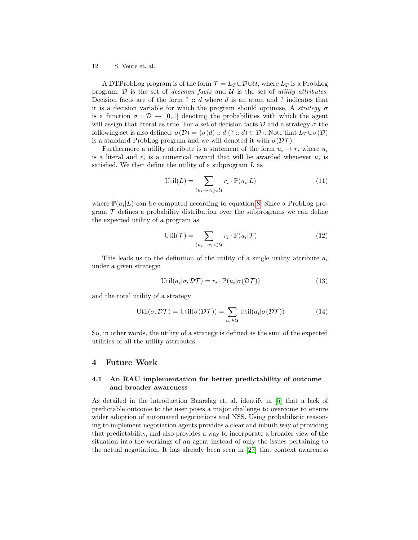A DTProbLog program is of the form  $\mathcal{T} = L_T \cup \mathcal{D} \cup \mathcal{U}$ , where  $L_T$  is a ProbLog program,  $D$  is the set of *decision facts* and  $U$  is the set of *utility attributes*. Decision facts are of the form ?  $\therefore$  d where d is an atom and ? indicates that it is a decision variable for which the program should optimise. A *strategy*  $\sigma$ is a function  $\sigma : \mathcal{D} \to [0,1]$  denoting the probabilities with which the agent will assign that literal as true. For a set of decision facts  $D$  and a strategy  $\sigma$  the following set is also defined:  $\sigma(\mathcal{D}) = {\sigma(d) : d | (? : d) \in \mathcal{D}}$ . Note that  $L_{\mathcal{T}} \cup \sigma(\mathcal{D})$ is a standard ProbLog program and we will denoted it with  $\sigma(\mathcal{DT})$ .

Furthermore a utility attribute is a statement of the form  $u_i \rightarrow r_i$  where  $u_i$ is a literal and  $r_i$  is a numerical reward that will be awarded whenever  $u_i$  is satisfied. We then define the utility of a subprogram  $L$  as

$$
\text{Util}(L) = \sum_{(u_i \to r_i) \in \mathcal{U}} r_i \cdot \mathbb{P}(u_i | L) \tag{11}
$$

where  $\mathbb{P}(u_i|L)$  can be computed according to equation [8.](#page-10-0) Since a ProbLog program  $\mathcal T$  defines a probability distribution over the subprograms we can define the expected utility of a program as

$$
\text{Util}(\mathcal{T}) = \sum_{(u_i \to r_i) \in \mathcal{U}} r_i \cdot \mathbb{P}(u_i | \mathcal{T}) \tag{12}
$$

This leads us to the definition of the utility of a single utility attribute  $a_i$ under a given strategy:

$$
Util(a_i | \sigma, \mathcal{DT}) = r_i \cdot \mathbb{P}(u_i | \sigma(\mathcal{DT})) \tag{13}
$$

and the total utility of a strategy

$$
\text{Util}(\sigma, \mathcal{DT}) = \text{Util}(\sigma(\mathcal{DT})) = \sum_{a_i \in \mathcal{U}} \text{Util}(a_i | \sigma(\mathcal{DT})) \tag{14}
$$

So, in other words, the utility of a strategy is defined as the sum of the expected utilities of all the utility attributes.

#### 4 Future Work

#### 4.1 An RAU implementation for better predictability of outcome and broader awareness

As detailed in the introduction Baarslag et. al. identify in [\[5\]](#page-12-1) that a lack of predictable outcome to the user poses a major challenge to overcome to ensure wider adoption of automated negotiations and NSS. Using probabilistic reasoning to implement negotiation agents provides a clear and inbuilt way of providing that predictability, and also provides a way to incorporate a broader view of the situation into the workings of an agent instead of only the issues pertaining to the actual negotiation. It has already been seen in [\[27\]](#page-14-13) that context awareness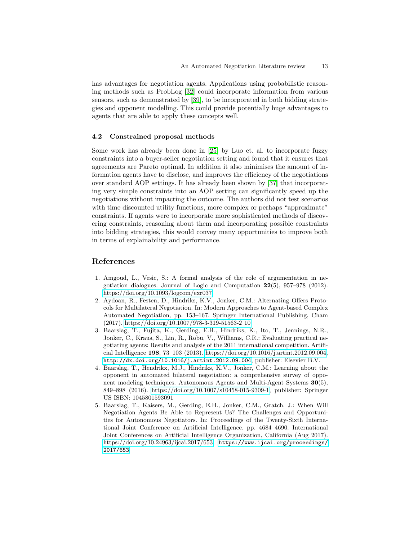has advantages for negotiation agents. Applications using probabilistic reasoning methods such as ProbLog [\[32\]](#page-14-12) could incorporate information from various sensors, such as demonstrated by [\[39\]](#page-15-3), to be incorporated in both bidding strategies and opponent modelling. This could provide potentially huge advantages to agents that are able to apply these concepts well.

#### 4.2 Constrained proposal methods

Some work has already been done in [\[25\]](#page-14-10) by Luo et. al. to incorporate fuzzy constraints into a buyer-seller negotiation setting and found that it ensures that agreements are Pareto optimal. In addition it also minimises the amount of information agents have to disclose, and improves the efficiency of the negotiations over standard AOP settings. It has already been shown by [\[37\]](#page-15-4) that incorporating very simple constraints into an AOP setting can significantly speed up the negotiations without impacting the outcome. The authors did not test scenarios with time discounted utility functions, more complex or perhaps "approximate" constraints. If agents were to incorporate more sophisticated methods of discovering constraints, reasoning about them and incorporating possible constraints into bidding strategies, this would convey many opportunities to improve both in terms of explainability and performance.

## References

- <span id="page-12-4"></span>1. Amgoud, L., Vesic, S.: A formal analysis of the role of argumentation in negotiation dialogues. Journal of Logic and Computation  $22(5)$ ,  $957-978$  (2012). <https://doi.org/10.1093/logcom/exr037>
- <span id="page-12-3"></span>2. Aydoan, R., Festen, D., Hindriks, K.V., Jonker, C.M.: Alternating Offers Protocols for Multilateral Negotiation. In: Modern Approaches to Agent-based Complex Automated Negotiation, pp. 153–167. Springer International Publishing, Cham (2017). [https://doi.org/10.1007/978-3-319-51563-2](https://doi.org/10.1007/978-3-319-51563-2_10) 10
- <span id="page-12-2"></span>3. Baarslag, T., Fujita, K., Gerding, E.H., Hindriks, K., Ito, T., Jennings, N.R., Jonker, C., Kraus, S., Lin, R., Robu, V., Williams, C.R.: Evaluating practical negotiating agents: Results and analysis of the 2011 international competition. Artificial Intelligence 198, 73–103 (2013). [https://doi.org/10.1016/j.artint.2012.09.004,](https://doi.org/10.1016/j.artint.2012.09.004) <http://dx.doi.org/10.1016/j.artint.2012.09.004>, publisher: Elsevier B.V.
- <span id="page-12-0"></span>4. Baarslag, T., Hendrikx, M.J., Hindriks, K.V., Jonker, C.M.: Learning about the opponent in automated bilateral negotiation: a comprehensive survey of opponent modeling techniques. Autonomous Agents and Multi-Agent Systems 30(5), 849–898 (2016). [https://doi.org/10.1007/s10458-015-9309-1,](https://doi.org/10.1007/s10458-015-9309-1) publisher: Springer US ISBN: 1045801593091
- <span id="page-12-1"></span>5. Baarslag, T., Kaisers, M., Gerding, E.H., Jonker, C.M., Gratch, J.: When Will Negotiation Agents Be Able to Represent Us? The Challenges and Opportunities for Autonomous Negotiators. In: Proceedings of the Twenty-Sixth International Joint Conference on Artificial Intelligence. pp. 4684–4690. International Joint Conferences on Artificial Intelligence Organization, California (Aug 2017). [https://doi.org/10.24963/ijcai.2017/653,](https://doi.org/10.24963/ijcai.2017/653) [https://www.ijcai.org/proceedings/](https://www.ijcai.org/proceedings/2017/653) [2017/653](https://www.ijcai.org/proceedings/2017/653)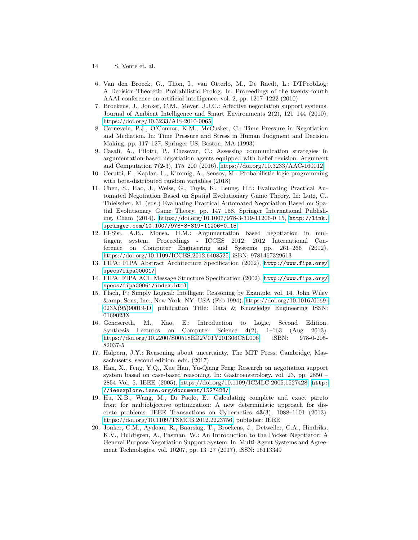- 14 S. Vente et. al.
- <span id="page-13-14"></span>6. Van den Broeck, G., Thon, I., van Otterlo, M., De Raedt, L.: DTProbLog: A Decision-Theoretic Probabilistic Prolog. In: Proceedings of the twenty-fourth AAAI conference on artificial intelligence. vol. 2, pp. 1217–1222 (2010)
- <span id="page-13-2"></span>7. Broekens, J., Jonker, C.M., Meyer, J.J.C.: Affective negotiation support systems. Journal of Ambient Intelligence and Smart Environments  $2(2)$ ,  $121-144$  (2010). <https://doi.org/10.3233/AIS-2010-0065>
- <span id="page-13-5"></span>8. Carnevale, P.J., O'Connor, K.M., McCusker, C.: Time Pressure in Negotiation and Mediation. In: Time Pressure and Stress in Human Judgment and Decision Making, pp. 117–127. Springer US, Boston, MA (1993)
- <span id="page-13-8"></span>9. Casali, A., Pilotti, P., Chesevar, C.: Assessing communication strategies in argumentation-based negotiation agents equipped with belief revision. Argument and Computation 7(2-3), 175–200 (2016).<https://doi.org/10.3233/AAC-160012>
- <span id="page-13-3"></span>10. Cerutti, F., Kaplan, L., Kimmig, A., Sensoy, M.: Probabilistic logic programming with beta-distributed random variables (2018)
- <span id="page-13-7"></span>11. Chen, S., Hao, J., Weiss, G., Tuyls, K., Leung, H.f.: Evaluating Practical Automated Negotiation Based on Spatial Evolutionary Game Theory. In: Lutz, C., Thielscher, M. (eds.) Evaluating Practical Automated Negotiation Based on Spatial Evolutionary Game Theory, pp. 147–158. Springer International Publishing, Cham (2014). [https://doi.org/10.1007/978-3-319-11206-0](https://doi.org/10.1007/978-3-319-11206-0_15) 15, [http://link.](http://link.springer.com/10.1007/978-3-319-11206-0_15) [springer.com/10.1007/978-3-319-11206-0\\_15](http://link.springer.com/10.1007/978-3-319-11206-0_15)
- <span id="page-13-9"></span>12. El-Sisi, A.B., Mousa, H.M.: Argumentation based negotiation in multiagent system. Proceedings - ICCES 2012: 2012 International Conference on Computer Engineering and Systems pp. 261–266 (2012). [https://doi.org/10.1109/ICCES.2012.6408525,](https://doi.org/10.1109/ICCES.2012.6408525) iSBN: 9781467329613
- <span id="page-13-10"></span>13. FIPA: FIPA Abstract Architecture Specification (2002), [http://www.fipa.org/](http://www.fipa.org/specs/fipa00001/) [specs/fipa00001/](http://www.fipa.org/specs/fipa00001/)
- <span id="page-13-11"></span>14. FIPA: FIPA ACL Message Structure Specification (2002), [http://www.fipa.org/](http://www.fipa.org/specs/fipa00061/index.html) [specs/fipa00061/index.html](http://www.fipa.org/specs/fipa00061/index.html)
- <span id="page-13-12"></span>15. Flach, P.: Simply Logical: Intelligent Reasoning by Example, vol. 14. John Wiley & Sons, Inc., New York, NY, USA (Feb 1994). [https://doi.org/10.1016/0169-](https://doi.org/10.1016/0169-023X(95)90019-D) [023X\(95\)90019-D,](https://doi.org/10.1016/0169-023X(95)90019-D) publication Title: Data & Knowledge Engineering ISSN: 0169023X
- <span id="page-13-13"></span>16. Genesereth, M., Kao, E.: Introduction to Logic, Second Edition. Synthesis Lectures on Computer Science 4(2), 1–163 (Aug 2013). [https://doi.org/10.2200/S00518ED2V01Y201306CSL006,](https://doi.org/10.2200/S00518ED2V01Y201306CSL006) iSBN: 978-0-205- 82037-5
- <span id="page-13-4"></span>17. Halpern, J.Y.: Reasoning about uncertainty. The MIT Press, Cambridge, Massachusetts, second edition. edn. (2017)
- <span id="page-13-1"></span>18. Han, X., Feng, Y.Q., Xue Han, Yu-Qiang Feng: Research on negotiation support system based on case-based reasoning. In: Gastroenterology. vol. 23, pp. 2850 – 2854 Vol. 5. IEEE (2005). [https://doi.org/10.1109/ICMLC.2005.1527428,](https://doi.org/10.1109/ICMLC.2005.1527428) [http:](http://ieeexplore.ieee.org/document/1527428/) [//ieeexplore.ieee.org/document/1527428/](http://ieeexplore.ieee.org/document/1527428/)
- <span id="page-13-6"></span>19. Hu, X.B., Wang, M., Di Paolo, E.: Calculating complete and exact pareto front for multiobjective optimization: A new deterministic approach for discrete problems. IEEE Transactions on Cybernetics 43(3), 1088–1101 (2013). [https://doi.org/10.1109/TSMCB.2012.2223756,](https://doi.org/10.1109/TSMCB.2012.2223756) publisher: IEEE
- <span id="page-13-0"></span>20. Jonker, C.M., Aydoan, R., Baarslag, T., Broekens, J., Detweiler, C.A., Hindriks, K.V., Huldtgren, A., Pasman, W.: An Introduction to the Pocket Negotiator: A General Purpose Negotiation Support System. In: Multi-Agent Systems and Agreement Technologies. vol. 10207, pp. 13–27 (2017), iSSN: 16113349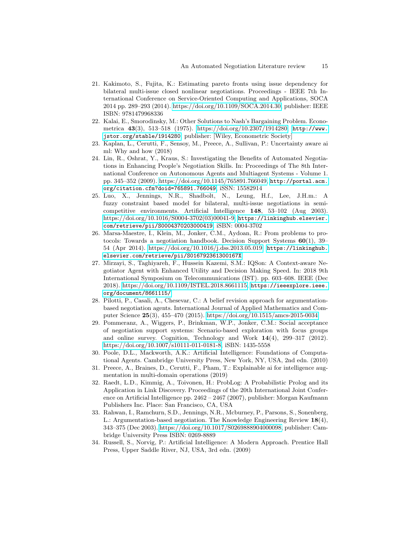- <span id="page-14-4"></span>21. Kakimoto, S., Fujita, K.: Estimating pareto fronts using issue dependency for bilateral multi-issue closed nonlinear negotiations. Proceedings - IEEE 7th International Conference on Service-Oriented Computing and Applications, SOCA 2014 pp. 289–293 (2014). [https://doi.org/10.1109/SOCA.2014.30,](https://doi.org/10.1109/SOCA.2014.30) publisher: IEEE ISBN: 9781479968336
- <span id="page-14-8"></span>22. Kalai, E., Smorodinsky, M.: Other Solutions to Nash's Bargaining Problem. Econometrica 43(3), 513–518 (1975). [https://doi.org/10.2307/1914280,](https://doi.org/10.2307/1914280) [http://www.](http://www.jstor.org/stable/1914280) [jstor.org/stable/1914280](http://www.jstor.org/stable/1914280), publisher: [Wiley, Econometric Society]
- <span id="page-14-3"></span>23. Kaplan, L., Cerutti, F., Sensoy, M., Preece, A., Sullivan, P.: Uncertainty aware ai ml: Why and how (2018)
- <span id="page-14-0"></span>24. Lin, R., Oshrat, Y., Kraus, S.: Investigating the Benefits of Automated Negotiations in Enhancing People's Negotiation Skills. In: Proceedings of The 8th International Conference on Autonomous Agents and Multiagent Systems - Volume 1. pp. 345–352 (2009). [https://doi.org/10.1145/765891.766049,](https://doi.org/10.1145/765891.766049) [http://portal.acm.](http://portal.acm.org/citation.cfm?doid=765891.766049) [org/citation.cfm?doid=765891.766049](http://portal.acm.org/citation.cfm?doid=765891.766049), iSSN: 15582914
- <span id="page-14-10"></span>25. Luo, X., Jennings, N.R., Shadbolt, N., Leung, H.f., Lee, J.H.m.: A fuzzy constraint based model for bilateral, multi-issue negotiations in semicompetitive environments. Artificial Intelligence 148, 53–102 (Aug 2003). [https://doi.org/10.1016/S0004-3702\(03\)00041-9,](https://doi.org/10.1016/S0004-3702(03)00041-9) [https://linkinghub.elsevier.](https://linkinghub.elsevier.com/retrieve/pii/S0004370203000419) [com/retrieve/pii/S0004370203000419](https://linkinghub.elsevier.com/retrieve/pii/S0004370203000419), iSBN: 0004-3702
- <span id="page-14-7"></span>26. Marsa-Maestre, I., Klein, M., Jonker, C.M., Aydoan, R.: From problems to protocols: Towards a negotiation handbook. Decision Support Systems  $60(1)$ , 39– 54 (Apr 2014). [https://doi.org/10.1016/j.dss.2013.05.019,](https://doi.org/10.1016/j.dss.2013.05.019) [https://linkinghub.](https://linkinghub.elsevier.com/retrieve/pii/S016792361300167X) [elsevier.com/retrieve/pii/S016792361300167X](https://linkinghub.elsevier.com/retrieve/pii/S016792361300167X)
- <span id="page-14-13"></span>27. Mirzayi, S., Taghiyareh, F., Hussein Kazemi, S.M.: IQSon: A Context-aware Negotiator Agent with Enhanced Utility and Decision Making Speed. In: 2018 9th International Symposium on Telecommunications (IST). pp. 603–608. IEEE (Dec 2018). [https://doi.org/10.1109/ISTEL.2018.8661115,](https://doi.org/10.1109/ISTEL.2018.8661115) [https://ieeexplore.ieee.](https://ieeexplore.ieee.org/document/8661115/) [org/document/8661115/](https://ieeexplore.ieee.org/document/8661115/)
- <span id="page-14-9"></span>28. Pilotti, P., Casali, A., Chesevar, C.: A belief revision approach for argumentationbased negotiation agents. International Journal of Applied Mathematics and Computer Science 25(3), 455–470 (2015).<https://doi.org/10.1515/amcs-2015-0034>
- <span id="page-14-1"></span>29. Pommeranz, A., Wiggers, P., Brinkman, W.P., Jonker, C.M.: Social acceptance of negotiation support systems: Scenario-based exploration with focus groups and online survey. Cognition, Technology and Work 14(4), 299–317 (2012). [https://doi.org/10.1007/s10111-011-0181-8,](https://doi.org/10.1007/s10111-011-0181-8) iSBN: 1435-5558
- <span id="page-14-5"></span>30. Poole, D.L., Mackworth, A.K.: Artificial Intelligence: Foundations of Computational Agents. Cambridge University Press, New York, NY, USA, 2nd edn. (2010)
- <span id="page-14-2"></span>31. Preece, A., Braines, D., Cerutti, F., Pham, T.: Explainable ai for intelligence augmentation in multi-domain operations (2019)
- <span id="page-14-12"></span>32. Raedt, L.D., Kimmig, A., Toivonen, H.: ProbLog: A Probabilistic Prolog and its Application in Link Discovery. Proceedings of the 20th International Joint Conference on Artificial Intelligence pp. 2462 – 2467 (2007), publisher: Morgan Kaufmann Publishers Inc. Place: San Francisco, CA, USA
- <span id="page-14-6"></span>33. Rahwan, I., Ramchurn, S.D., Jennings, N.R., Mcburney, P., Parsons, S., Sonenberg, L.: Argumentation-based negotiation. The Knowledge Engineering Review 18(4), 343–375 (Dec 2003). [https://doi.org/10.1017/S0269888904000098,](https://doi.org/10.1017/S0269888904000098) publisher: Cambridge University Press ISBN: 0269-8889
- <span id="page-14-11"></span>34. Russell, S., Norvig, P.: Artificial Intelligence: A Modern Approach. Prentice Hall Press, Upper Saddle River, NJ, USA, 3rd edn. (2009)